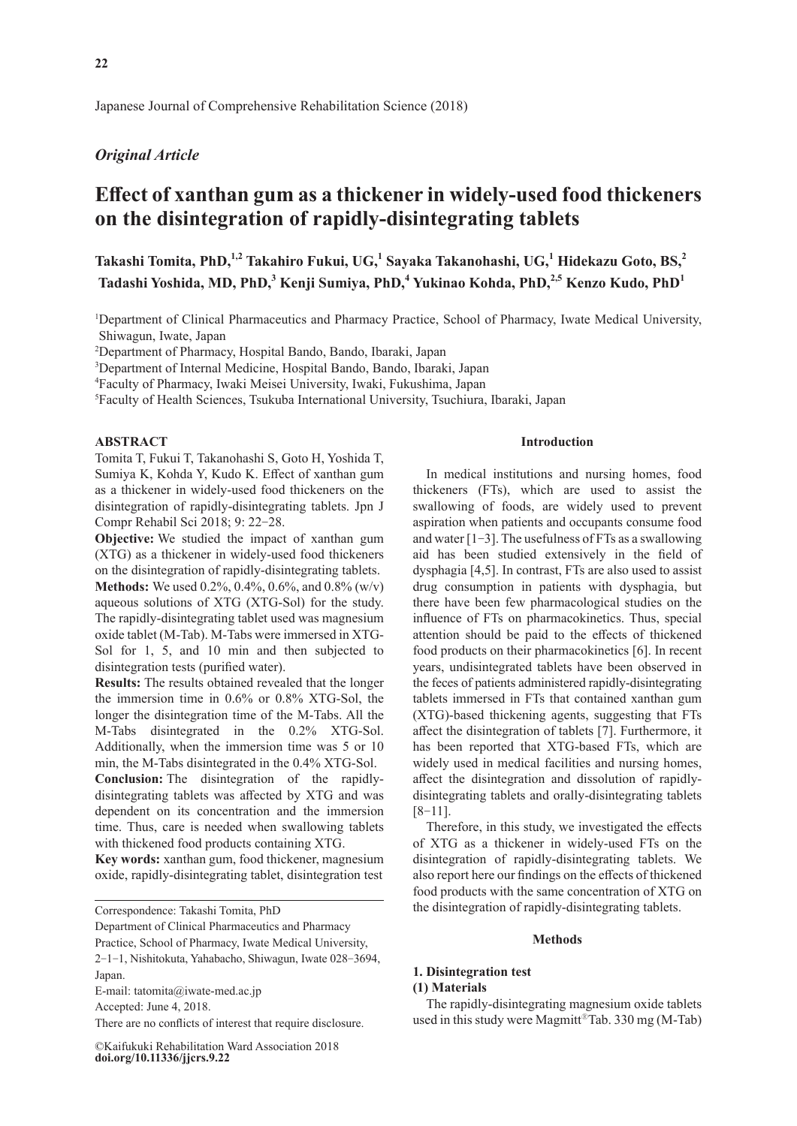# *Original Article*

# **Effect of xanthan gum as a thickener in widely-used food thickeners on the disintegration of rapidly-disintegrating tablets**

**Takashi Tomita, PhD,1,2 Takahiro Fukui, UG,<sup>1</sup> Sayaka Takanohashi, UG,<sup>1</sup> Hidekazu Goto, BS,<sup>2</sup> Tadashi Yoshida, MD, PhD,<sup>3</sup> Kenji Sumiya, PhD,<sup>4</sup> Yukinao Kohda, PhD,2,5 Kenzo Kudo, PhD<sup>1</sup>**

<sup>1</sup>Department of Clinical Pharmaceutics and Pharmacy Practice, School of Pharmacy, Iwate Medical University, Shiwagun, Iwate, Japan

2 Department of Pharmacy, Hospital Bando, Bando, Ibaraki, Japan

3 Department of Internal Medicine, Hospital Bando, Bando, Ibaraki, Japan

4 Faculty of Pharmacy, Iwaki Meisei University, Iwaki, Fukushima, Japan

5 Faculty of Health Sciences, Tsukuba International University, Tsuchiura, Ibaraki, Japan

#### **ABSTRACT**

Tomita T, Fukui T, Takanohashi S, Goto H, Yoshida T, Sumiya K, Kohda Y, Kudo K. Effect of xanthan gum as a thickener in widely-used food thickeners on the disintegration of rapidly-disintegrating tablets. Jpn J Compr Rehabil Sci 2018; 9: 22-28.

**Objective:** We studied the impact of xanthan gum (XTG) as a thickener in widely-used food thickeners on the disintegration of rapidly-disintegrating tablets.

**Methods:** We used 0.2%, 0.4%, 0.6%, and 0.8% (w/v) aqueous solutions of XTG (XTG-Sol) for the study. The rapidly-disintegrating tablet used was magnesium oxide tablet (M-Tab). M-Tabs were immersed in XTG-Sol for 1, 5, and 10 min and then subjected to disintegration tests (purified water).

**Results:** The results obtained revealed that the longer the immersion time in 0.6% or 0.8% XTG-Sol, the longer the disintegration time of the M-Tabs. All the M-Tabs disintegrated in the 0.2% XTG-Sol. Additionally, when the immersion time was 5 or 10 min, the M-Tabs disintegrated in the 0.4% XTG-Sol.

**Conclusion:** The disintegration of the rapidlydisintegrating tablets was affected by XTG and was dependent on its concentration and the immersion time. Thus, care is needed when swallowing tablets with thickened food products containing XTG.

**Key words:** xanthan gum, food thickener, magnesium oxide, rapidly-disintegrating tablet, disintegration test

Correspondence: Takashi Tomita, PhD

Department of Clinical Pharmaceutics and Pharmacy

Practice, School of Pharmacy, Iwate Medical University,

2-1-1, Nishitokuta, Yahabacho, Shiwagun, Iwate 028-3694, Japan.

E-mail: tatomita@iwate-med.ac.jp

Accepted: June 4, 2018.

There are no conflicts of interest that require disclosure.

**doi.org/10.11336/jjcrs.9.22** ©Kaifukuki Rehabilitation Ward Association 2018

#### **Introduction**

In medical institutions and nursing homes, food thickeners (FTs), which are used to assist the swallowing of foods, are widely used to prevent aspiration when patients and occupants consume food and water  $[1-3]$ . The usefulness of FTs as a swallowing aid has been studied extensively in the field of dysphagia [4,5]. In contrast, FTs are also used to assist drug consumption in patients with dysphagia, but there have been few pharmacological studies on the influence of FTs on pharmacokinetics. Thus, special attention should be paid to the effects of thickened food products on their pharmacokinetics [6]. In recent years, undisintegrated tablets have been observed in the feces of patients administered rapidly-disintegrating tablets immersed in FTs that contained xanthan gum (XTG)-based thickening agents, suggesting that FTs affect the disintegration of tablets [7]. Furthermore, it has been reported that XTG-based FTs, which are widely used in medical facilities and nursing homes, affect the disintegration and dissolution of rapidlydisintegrating tablets and orally-disintegrating tablets  $[8-11]$ .

Therefore, in this study, we investigated the effects of XTG as a thickener in widely-used FTs on the disintegration of rapidly-disintegrating tablets. We also report here our findings on the effects of thickened food products with the same concentration of XTG on the disintegration of rapidly-disintegrating tablets.

#### **Methods**

# **1. Disintegration test**

#### **(1) Materials**

The rapidly-disintegrating magnesium oxide tablets used in this study were Magmitt®Tab. 330 mg (M-Tab)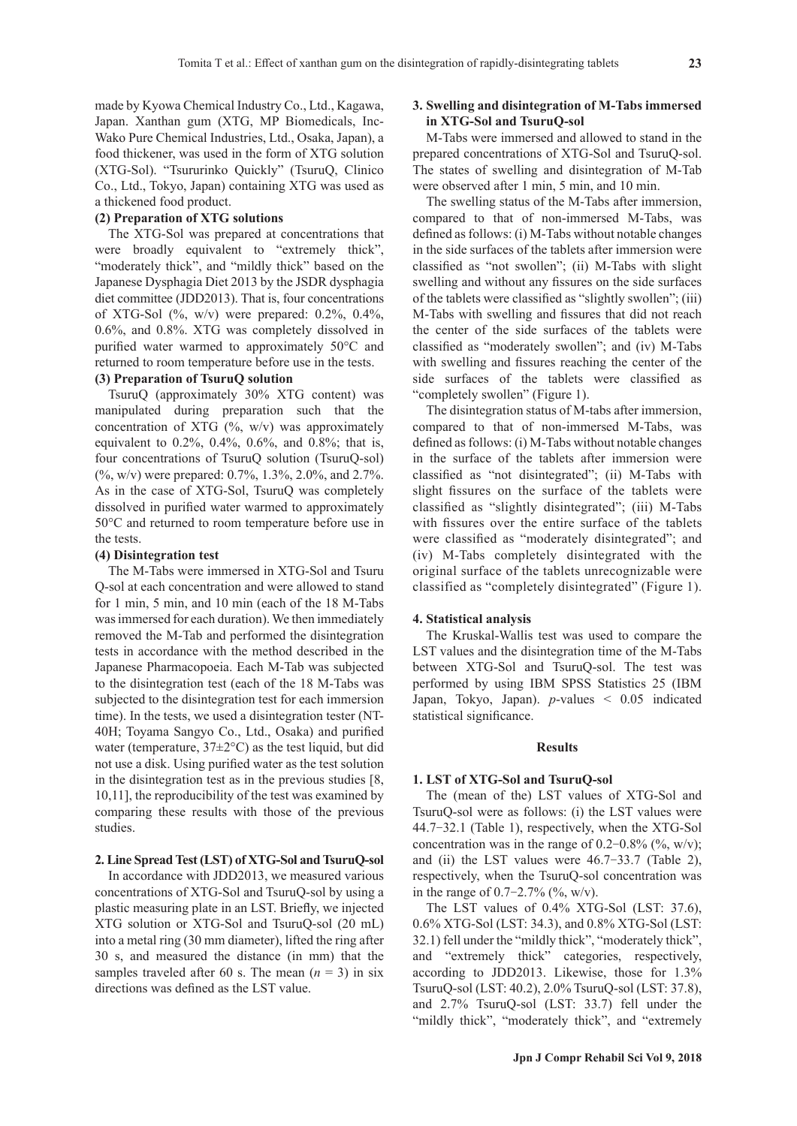made by Kyowa Chemical Industry Co., Ltd., Kagawa, Japan. Xanthan gum (XTG, MP Biomedicals, Inc-Wako Pure Chemical Industries, Ltd., Osaka, Japan), a food thickener, was used in the form of XTG solution (XTG-Sol). "Tsururinko Quickly" (TsuruQ, Clinico Co., Ltd., Tokyo, Japan) containing XTG was used as a thickened food product.

### **(2) Preparation of XTG solutions**

The XTG-Sol was prepared at concentrations that were broadly equivalent to "extremely thick", "moderately thick", and "mildly thick" based on the Japanese Dysphagia Diet 2013 by the JSDR dysphagia diet committee (JDD2013). That is, four concentrations of XTG-Sol  $(\%$ , w/v) were prepared: 0.2%, 0.4%, 0.6%, and 0.8%. XTG was completely dissolved in purified water warmed to approximately 50°C and returned to room temperature before use in the tests.

# **(3) Preparation of TsuruQ solution**

TsuruQ (approximately 30% XTG content) was manipulated during preparation such that the concentration of XTG  $(\% , w/v)$  was approximately equivalent to 0.2%, 0.4%, 0.6%, and 0.8%; that is, four concentrations of TsuruQ solution (TsuruQ-sol) (%, w/v) were prepared: 0.7%, 1.3%, 2.0%, and 2.7%. As in the case of XTG-Sol, TsuruQ was completely dissolved in purified water warmed to approximately 50°C and returned to room temperature before use in the tests.

#### **(4) Disintegration test**

The M-Tabs were immersed in XTG-Sol and Tsuru Q-sol at each concentration and were allowed to stand for 1 min, 5 min, and 10 min (each of the 18 M-Tabs was immersed for each duration). We then immediately removed the M-Tab and performed the disintegration tests in accordance with the method described in the Japanese Pharmacopoeia. Each M-Tab was subjected to the disintegration test (each of the 18 M-Tabs was subjected to the disintegration test for each immersion time). In the tests, we used a disintegration tester (NT-40H; Toyama Sangyo Co., Ltd., Osaka) and purified water (temperature,  $37\pm2\degree C$ ) as the test liquid, but did not use a disk. Using purified water as the test solution in the disintegration test as in the previous studies [8, 10,11], the reproducibility of the test was examined by comparing these results with those of the previous studies.

#### **2. Line Spread Test (LST) of XTG-Sol and TsuruQ-sol**

In accordance with JDD2013, we measured various concentrations of XTG-Sol and TsuruQ-sol by using a plastic measuring plate in an LST. Briefly, we injected XTG solution or XTG-Sol and TsuruQ-sol (20 mL) into a metal ring (30 mm diameter), lifted the ring after 30 s, and measured the distance (in mm) that the samples traveled after 60 s. The mean  $(n = 3)$  in six directions was defined as the LST value.

## **3. Swelling and disintegration of M-Tabs immersed in XTG-Sol and TsuruQ-sol**

M-Tabs were immersed and allowed to stand in the prepared concentrations of XTG-Sol and TsuruQ-sol. The states of swelling and disintegration of M-Tab were observed after 1 min, 5 min, and 10 min.

The swelling status of the M-Tabs after immersion, compared to that of non-immersed M-Tabs, was defined as follows: (i) M-Tabs without notable changes in the side surfaces of the tablets after immersion were classified as "not swollen"; (ii) M-Tabs with slight swelling and without any fissures on the side surfaces of the tablets were classified as "slightly swollen"; (iii) M-Tabs with swelling and fissures that did not reach the center of the side surfaces of the tablets were classified as "moderately swollen"; and (iv) M-Tabs with swelling and fissures reaching the center of the side surfaces of the tablets were classified as "completely swollen" (Figure 1).

The disintegration status of M-tabs after immersion, compared to that of non-immersed M-Tabs, was defined as follows: (i) M-Tabs without notable changes in the surface of the tablets after immersion were classified as "not disintegrated"; (ii) M-Tabs with slight fissures on the surface of the tablets were classified as "slightly disintegrated"; (iii) M-Tabs with fissures over the entire surface of the tablets were classified as "moderately disintegrated"; and (iv) M-Tabs completely disintegrated with the original surface of the tablets unrecognizable were classified as "completely disintegrated" (Figure 1).

#### **4. Statistical analysis**

The Kruskal-Wallis test was used to compare the LST values and the disintegration time of the M-Tabs between XTG-Sol and TsuruQ-sol. The test was performed by using IBM SPSS Statistics 25 (IBM Japan, Tokyo, Japan). *p*-values < 0.05 indicated statistical significance.

#### **Results**

#### **1. LST of XTG-Sol and TsuruQ-sol**

The (mean of the) LST values of XTG-Sol and TsuruQ-sol were as follows: (i) the LST values were 44.7-32.1 (Table 1), respectively, when the XTG-Sol concentration was in the range of  $0.2{\text -}0.8\%$  (%, w/v); and (ii) the LST values were 46.7-33.7 (Table 2), respectively, when the TsuruQ-sol concentration was in the range of  $0.7-2.7\%$  (%, w/v).

The LST values of 0.4% XTG-Sol (LST: 37.6), 0.6% XTG-Sol (LST: 34.3), and 0.8% XTG-Sol (LST: 32.1) fell under the "mildly thick", "moderately thick", and "extremely thick" categories, respectively, according to JDD2013. Likewise, those for 1.3% TsuruQ-sol (LST: 40.2), 2.0% TsuruQ-sol (LST: 37.8), and 2.7% TsuruQ-sol (LST: 33.7) fell under the "mildly thick", "moderately thick", and "extremely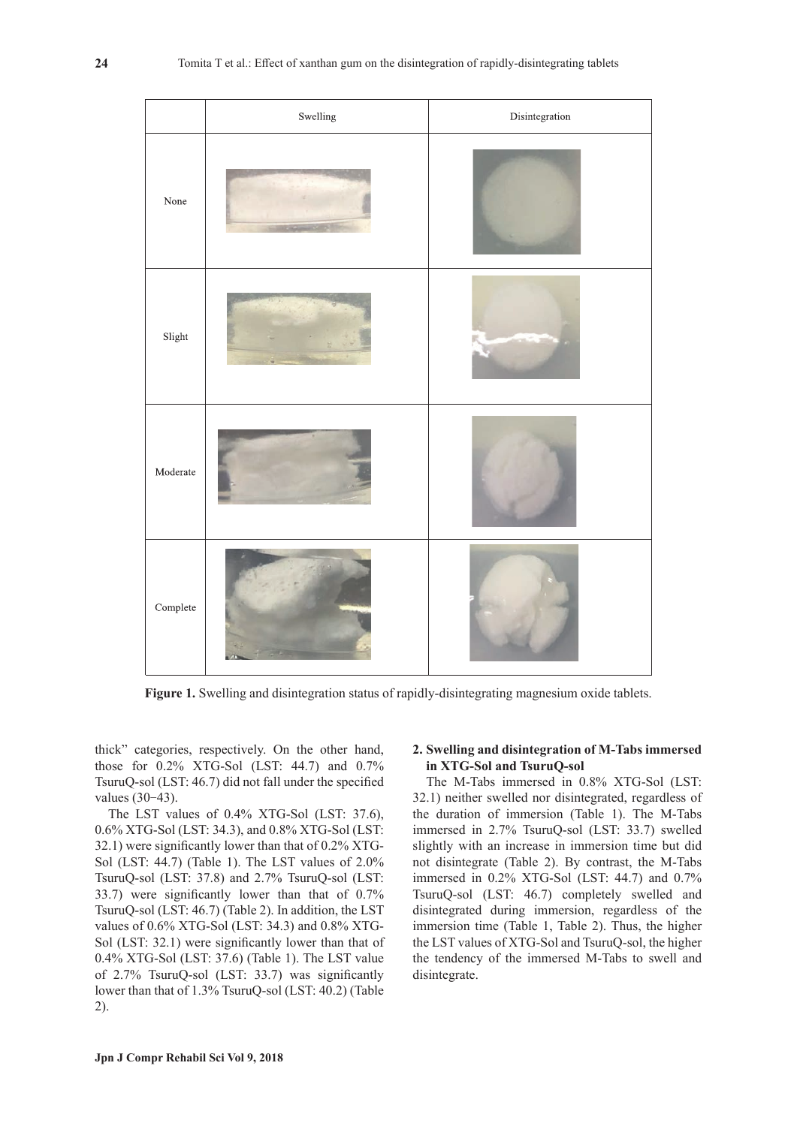

**Figure 1.** Swelling and disintegration status of rapidly-disintegrating magnesium oxide tablets.

thick" categories, respectively. On the other hand, those for 0.2% XTG-Sol (LST: 44.7) and 0.7% TsuruQ-sol (LST: 46.7) did not fall under the specified values (30-43).

The LST values of 0.4% XTG-Sol (LST: 37.6), 0.6% XTG-Sol (LST: 34.3), and 0.8% XTG-Sol (LST: 32.1) were significantly lower than that of 0.2% XTG-Sol (LST: 44.7) (Table 1). The LST values of 2.0% TsuruQ-sol (LST: 37.8) and 2.7% TsuruQ-sol (LST: 33.7) were significantly lower than that of 0.7% TsuruQ-sol (LST: 46.7) (Table 2). In addition, the LST values of 0.6% XTG-Sol (LST: 34.3) and 0.8% XTG-Sol (LST: 32.1) were significantly lower than that of 0.4% XTG-Sol (LST: 37.6) (Table 1). The LST value of 2.7% TsuruQ-sol (LST: 33.7) was significantly lower than that of 1.3% TsuruQ-sol (LST: 40.2) (Table 2).

## **2. Swelling and disintegration of M-Tabs immersed in XTG-Sol and TsuruQ-sol**

The M-Tabs immersed in 0.8% XTG-Sol (LST: 32.1) neither swelled nor disintegrated, regardless of the duration of immersion (Table 1). The M-Tabs immersed in 2.7% TsuruQ-sol (LST: 33.7) swelled slightly with an increase in immersion time but did not disintegrate (Table 2). By contrast, the M-Tabs immersed in 0.2% XTG-Sol (LST: 44.7) and 0.7% TsuruQ-sol (LST: 46.7) completely swelled and disintegrated during immersion, regardless of the immersion time (Table 1, Table 2). Thus, the higher the LST values of XTG-Sol and TsuruQ-sol, the higher the tendency of the immersed M-Tabs to swell and disintegrate.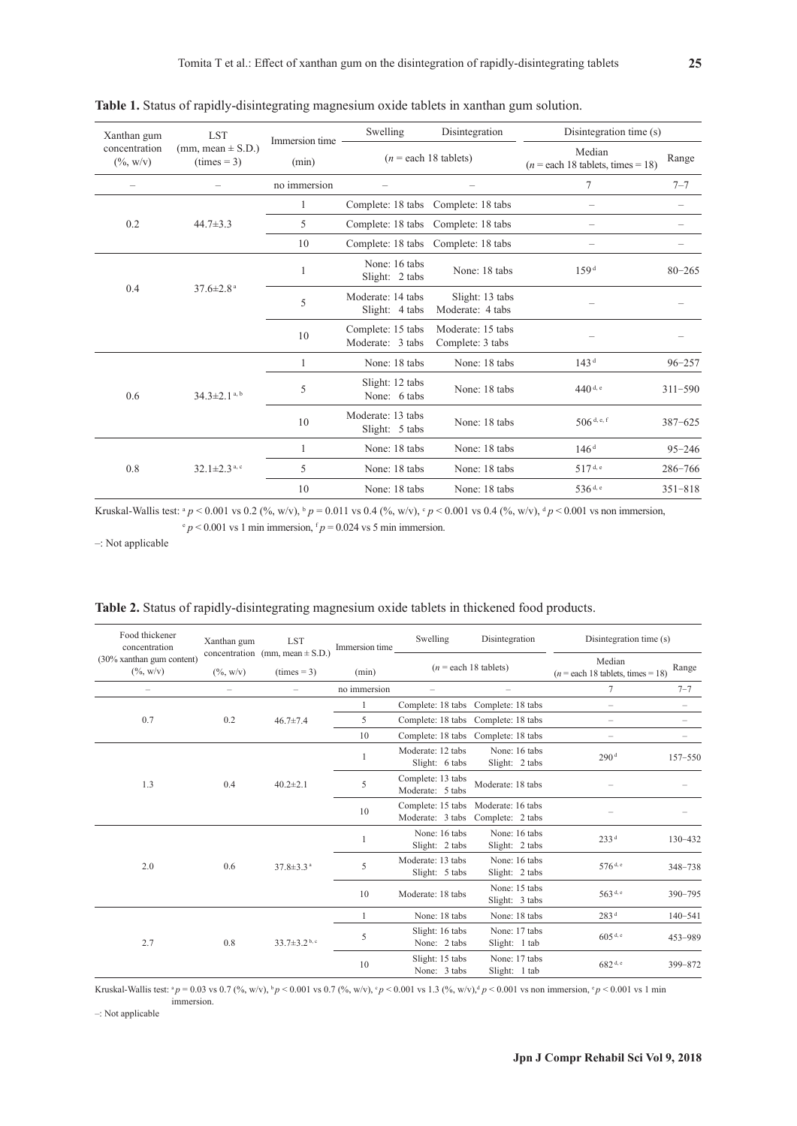| Xanthan gum<br>concentration<br>$(\% , w/v)$ | <b>LST</b><br>(mm, mean $\pm$ S.D.)<br>$(\text{times} = 3)$ | Immersion time | Swelling                              | Disintegration                                | Disintegration time (s) |             |
|----------------------------------------------|-------------------------------------------------------------|----------------|---------------------------------------|-----------------------------------------------|-------------------------|-------------|
|                                              |                                                             | (min)          | $(n = each 18$ tablets)               | Median<br>$(n = each 18$ tablets, times = 18) | Range                   |             |
|                                              |                                                             | no immersion   |                                       |                                               | 7                       | $7 - 7$     |
| 0.2                                          | $44.7 \pm 3.3$                                              |                |                                       | Complete: 18 tabs Complete: 18 tabs           |                         |             |
|                                              |                                                             | 5.             | Complete: 18 tabs Complete: 18 tabs   |                                               |                         |             |
|                                              |                                                             | 10             |                                       | Complete: 18 tabs Complete: 18 tabs           |                         |             |
| 0.4                                          | $37.6 \pm 2.8$ <sup>a</sup>                                 | 1              | None: 16 tabs<br>Slight: 2 tabs       | None: 18 tabs                                 | 159 <sup>d</sup>        | $80 - 265$  |
|                                              |                                                             | 5              | Moderate: 14 tabs<br>Slight: 4 tabs   | Slight: 13 tabs<br>Moderate: 4 tabs           |                         |             |
|                                              |                                                             | 10             | Complete: 15 tabs<br>Moderate: 3 tabs | Moderate: 15 tabs<br>Complete: 3 tabs         |                         |             |
| 0.6                                          | $34.3 \pm 2.1$ <sup>a, b</sup>                              | 1              | None: 18 tabs                         | None: 18 tabs                                 | 143 <sup>d</sup>        | $96 - 257$  |
|                                              |                                                             | 5              | Slight: 12 tabs<br>None: 6 tabs       | None: 18 tabs                                 | $440$ <sup>d, e</sup>   | $311 - 590$ |
|                                              |                                                             | 10             | Moderate: 13 tabs<br>Slight: 5 tabs   | None: 18 tabs                                 | 506 d, e, f             | $387 - 625$ |
| 0.8                                          | $32.1 \pm 2.3$ <sup>a, c</sup>                              | 1              | None: 18 tabs                         | None: 18 tabs                                 | 146 <sup>d</sup>        | $95 - 246$  |
|                                              |                                                             | 5              | None: 18 tabs                         | None: 18 tabs                                 | 517 <sup>d, e</sup>     | 286-766     |
|                                              |                                                             | 10             | None: 18 tabs                         | None: 18 tabs                                 | 536 <sup>d, e</sup>     | $351 - 818$ |

**Table 1.** Status of rapidly-disintegrating magnesium oxide tablets in xanthan gum solution.

Kruskal-Wallis test:  $^{a}p < 0.001$  vs 0.2 (%, w/v),  $^{b}p = 0.011$  vs 0.4 (%, w/v),  $^{c}p < 0.001$  vs 0.4 (%, w/v),  $^{d}p < 0.001$  vs non immersion,

 $p < 0.001$  vs 1 min immersion,  $p = 0.024$  vs 5 min immersion.

–: Not applicable

| Food thickener<br>concentration           | Xanthan gum              | <b>LST</b><br>concentration (mm, mean $\pm$ S.D.)<br>$(times = 3)$ | Immersion time | Swelling                              | Disintegration<br>Disintegration time (s) |                                               |             |
|-------------------------------------------|--------------------------|--------------------------------------------------------------------|----------------|---------------------------------------|-------------------------------------------|-----------------------------------------------|-------------|
| (30% xanthan gum content)<br>$(\% , w/v)$ | $(\%,{\rm w/v})$         |                                                                    | (min)          | $(n = each 18$ tablets)               |                                           | Median<br>$(n = each 18$ tablets, times = 18) | Range       |
| $\overline{\phantom{m}}$                  | $\overline{\phantom{m}}$ |                                                                    | no immersion   |                                       |                                           | $\tau$                                        | $7 - 7$     |
|                                           | 0.2                      | $46.7 \pm 7.4$                                                     |                |                                       | Complete: 18 tabs Complete: 18 tabs       |                                               |             |
| 0.7                                       |                          |                                                                    | 5              |                                       | Complete: 18 tabs Complete: 18 tabs       | $\overline{\phantom{m}}$                      |             |
|                                           |                          |                                                                    | 10             |                                       | Complete: 18 tabs Complete: 18 tabs       | $\overline{\phantom{0}}$                      |             |
|                                           |                          | $40.2 \pm 2.1$                                                     |                | Moderate: 12 tabs<br>Slight: 6 tabs   | None: 16 tabs<br>Slight: 2 tabs           | 290 <sup>d</sup>                              | $157 - 550$ |
| 1.3                                       | 0.4                      |                                                                    | 5              | Complete: 13 tabs<br>Moderate: 5 tabs | Moderate: 18 tabs                         |                                               |             |
|                                           |                          |                                                                    | 10             | Complete: 15 tabs<br>Moderate: 3 tabs | Moderate: 16 tabs<br>Complete: 2 tabs     |                                               |             |
|                                           | 0.6                      | $37.8 \pm 3.3$ <sup>a</sup>                                        |                | None: 16 tabs<br>Slight: 2 tabs       | None: 16 tabs<br>Slight: 2 tabs           | 233 <sup>d</sup>                              | $130 - 432$ |
| 2.0                                       |                          |                                                                    | 5              | Moderate: 13 tabs<br>Slight: 5 tabs   | None: 16 tabs<br>Slight: 2 tabs           | $576$ <sup>d, e</sup>                         | 348-738     |
|                                           |                          |                                                                    | 10             | Moderate: 18 tabs                     | None: 15 tabs<br>Slight: 3 tabs           | $563$ d, e                                    | $390 - 795$ |
|                                           | 0.8                      | $33.7 \pm 3.2$ <sup>b, c</sup>                                     |                | None: 18 tabs                         | None: 18 tabs                             | 283 <sup>d</sup>                              | $140 - 541$ |
| 2.7                                       |                          |                                                                    | 5              | Slight: 16 tabs<br>None: 2 tabs       | None: 17 tabs<br>Slight: 1 tab            | $605$ <sup>d, e</sup>                         | 453-989     |
|                                           |                          |                                                                    | 10             | Slight: 15 tabs<br>None: 3 tabs       | None: 17 tabs<br>Slight: 1 tab            | $682$ <sup>d, e</sup>                         | 399-872     |

**Table 2.** Status of rapidly-disintegrating magnesium oxide tablets in thickened food products.

Kruskal-Wallis test:  ${}^{\text{a}}p = 0.03$  vs  $0.7$  (%, w/v),  ${}^{\text{b}}p < 0.001$  vs  $0.7$  (%, w/v),  ${}^{\text{c}}p < 0.001$  vs  $1.3$  (%, w/v),  ${}^{\text{d}}p < 0.001$  vs non immersion,  ${}^{\text{c}}p < 0.001$  vs  $1$  min immersion.

–: Not applicable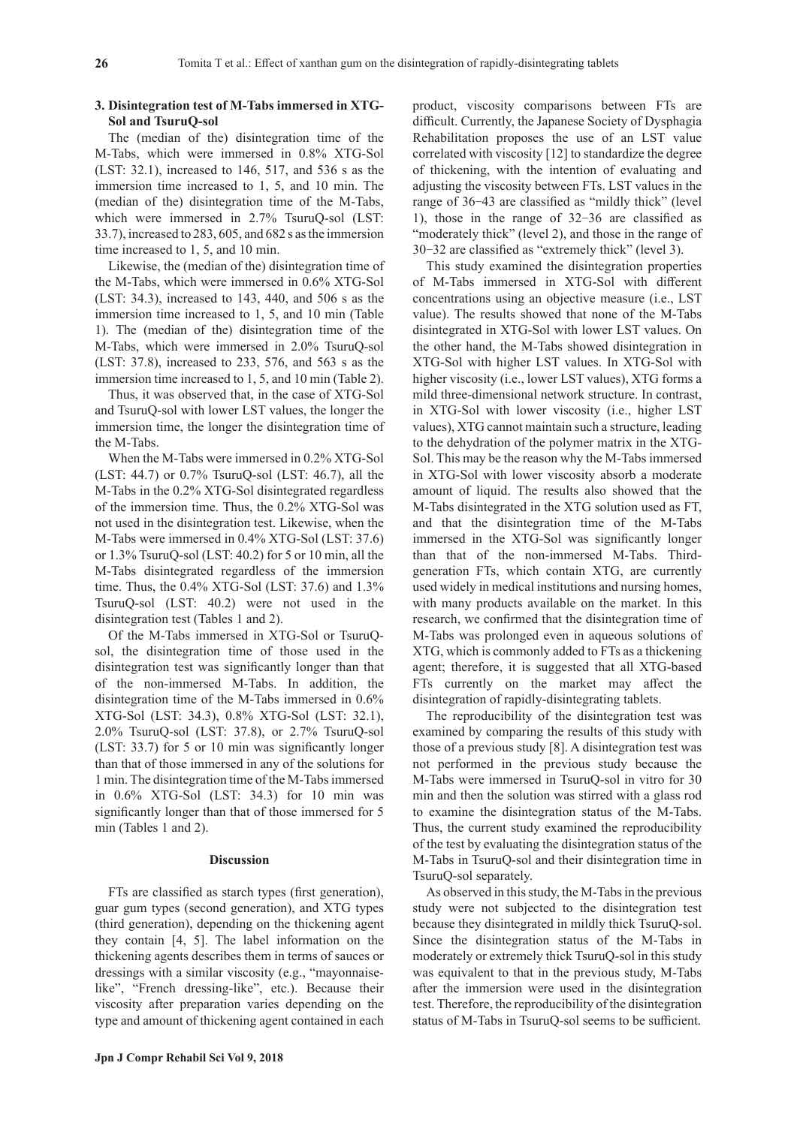## **3. Disintegration test of M-Tabs immersed in XTG-Sol and TsuruQ-sol**

The (median of the) disintegration time of the M-Tabs, which were immersed in 0.8% XTG-Sol (LST: 32.1), increased to 146, 517, and 536 s as the immersion time increased to 1, 5, and 10 min. The (median of the) disintegration time of the M-Tabs, which were immersed in 2.7% TsuruQ-sol (LST: 33.7), increased to 283, 605, and 682 s as the immersion time increased to 1, 5, and 10 min.

Likewise, the (median of the) disintegration time of the M-Tabs, which were immersed in 0.6% XTG-Sol (LST: 34.3), increased to 143, 440, and 506 s as the immersion time increased to 1, 5, and 10 min (Table 1). The (median of the) disintegration time of the M-Tabs, which were immersed in 2.0% TsuruQ-sol (LST: 37.8), increased to 233, 576, and 563 s as the immersion time increased to 1, 5, and 10 min (Table 2).

Thus, it was observed that, in the case of XTG-Sol and TsuruQ-sol with lower LST values, the longer the immersion time, the longer the disintegration time of the M-Tabs.

When the M-Tabs were immersed in 0.2% XTG-Sol (LST: 44.7) or 0.7% TsuruQ-sol (LST: 46.7), all the M-Tabs in the 0.2% XTG-Sol disintegrated regardless of the immersion time. Thus, the 0.2% XTG-Sol was not used in the disintegration test. Likewise, when the M-Tabs were immersed in 0.4% XTG-Sol (LST: 37.6) or 1.3% TsuruQ-sol (LST: 40.2) for 5 or 10 min, all the M-Tabs disintegrated regardless of the immersion time. Thus, the 0.4% XTG-Sol (LST: 37.6) and 1.3% TsuruQ-sol (LST: 40.2) were not used in the disintegration test (Tables 1 and 2).

Of the M-Tabs immersed in XTG-Sol or TsuruQsol, the disintegration time of those used in the disintegration test was significantly longer than that of the non-immersed M-Tabs. In addition, the disintegration time of the M-Tabs immersed in 0.6% XTG-Sol (LST: 34.3), 0.8% XTG-Sol (LST: 32.1), 2.0% TsuruQ-sol (LST: 37.8), or 2.7% TsuruQ-sol (LST: 33.7) for 5 or 10 min was significantly longer than that of those immersed in any of the solutions for 1 min. The disintegration time of the M-Tabs immersed in 0.6% XTG-Sol (LST: 34.3) for 10 min was significantly longer than that of those immersed for 5 min (Tables 1 and 2).

#### **Discussion**

FTs are classified as starch types (first generation), guar gum types (second generation), and XTG types (third generation), depending on the thickening agent they contain [4, 5]. The label information on the thickening agents describes them in terms of sauces or dressings with a similar viscosity (e.g., "mayonnaiselike", "French dressing-like", etc.). Because their viscosity after preparation varies depending on the type and amount of thickening agent contained in each product, viscosity comparisons between FTs are difficult. Currently, the Japanese Society of Dysphagia Rehabilitation proposes the use of an LST value correlated with viscosity [12] to standardize the degree of thickening, with the intention of evaluating and adjusting the viscosity between FTs. LST values in the range of 36-43 are classified as "mildly thick" (level 1), those in the range of 32-36 are classified as "moderately thick" (level 2), and those in the range of 30-32 are classified as "extremely thick" (level 3).

This study examined the disintegration properties of M-Tabs immersed in XTG-Sol with different concentrations using an objective measure (i.e., LST value). The results showed that none of the M-Tabs disintegrated in XTG-Sol with lower LST values. On the other hand, the M-Tabs showed disintegration in XTG-Sol with higher LST values. In XTG-Sol with higher viscosity (i.e., lower LST values), XTG forms a mild three-dimensional network structure. In contrast, in XTG-Sol with lower viscosity (i.e., higher LST values), XTG cannot maintain such a structure, leading to the dehydration of the polymer matrix in the XTG-Sol. This may be the reason why the M-Tabs immersed in XTG-Sol with lower viscosity absorb a moderate amount of liquid. The results also showed that the M-Tabs disintegrated in the XTG solution used as FT, and that the disintegration time of the M-Tabs immersed in the XTG-Sol was significantly longer than that of the non-immersed M-Tabs. Thirdgeneration FTs, which contain XTG, are currently used widely in medical institutions and nursing homes, with many products available on the market. In this research, we confirmed that the disintegration time of M-Tabs was prolonged even in aqueous solutions of XTG, which is commonly added to FTs as a thickening agent; therefore, it is suggested that all XTG-based FTs currently on the market may affect the disintegration of rapidly-disintegrating tablets.

The reproducibility of the disintegration test was examined by comparing the results of this study with those of a previous study [8]. A disintegration test was not performed in the previous study because the M-Tabs were immersed in TsuruQ-sol in vitro for 30 min and then the solution was stirred with a glass rod to examine the disintegration status of the M-Tabs. Thus, the current study examined the reproducibility of the test by evaluating the disintegration status of the M-Tabs in TsuruQ-sol and their disintegration time in TsuruQ-sol separately.

As observed in this study, the M-Tabs in the previous study were not subjected to the disintegration test because they disintegrated in mildly thick TsuruQ-sol. Since the disintegration status of the M-Tabs in moderately or extremely thick TsuruQ-sol in this study was equivalent to that in the previous study, M-Tabs after the immersion were used in the disintegration test. Therefore, the reproducibility of the disintegration status of M-Tabs in TsuruQ-sol seems to be sufficient.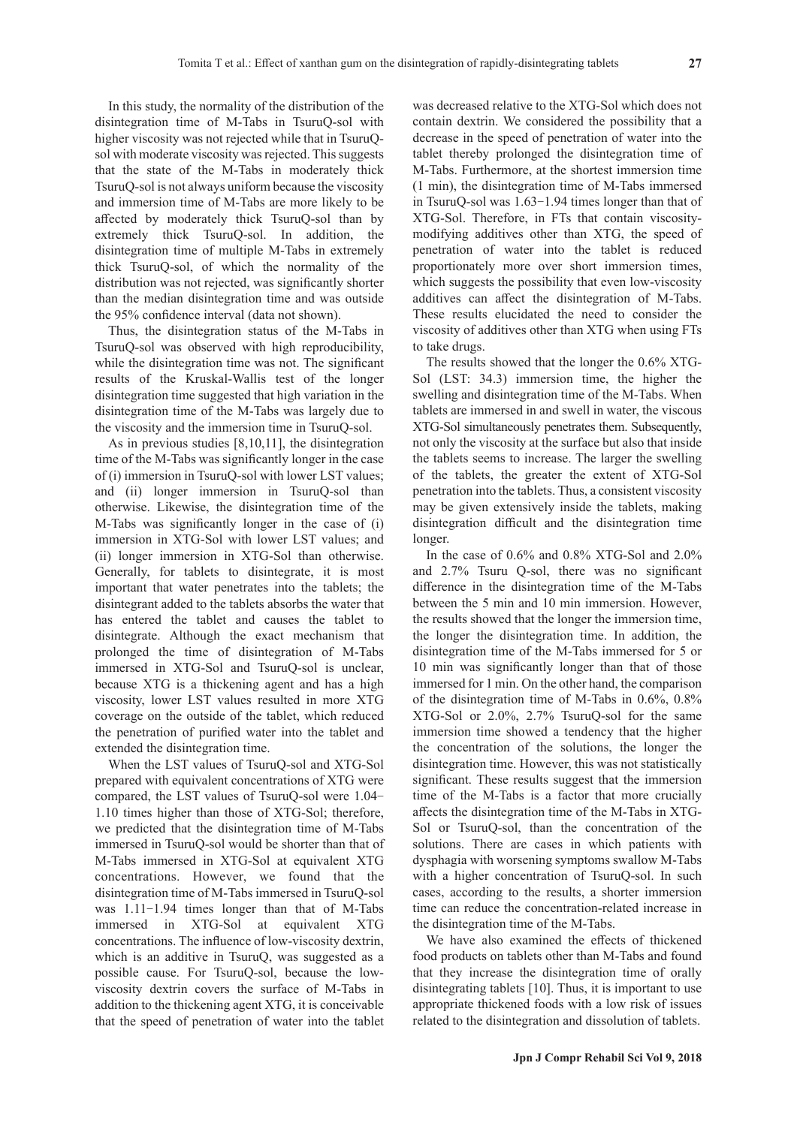In this study, the normality of the distribution of the disintegration time of M-Tabs in TsuruQ-sol with higher viscosity was not rejected while that in TsuruQsol with moderate viscosity was rejected. This suggests that the state of the M-Tabs in moderately thick TsuruQ-sol is not always uniform because the viscosity and immersion time of M-Tabs are more likely to be affected by moderately thick TsuruQ-sol than by extremely thick TsuruQ-sol. In addition, the disintegration time of multiple M-Tabs in extremely thick TsuruQ-sol, of which the normality of the distribution was not rejected, was significantly shorter than the median disintegration time and was outside the 95% confidence interval (data not shown).

Thus, the disintegration status of the M-Tabs in TsuruQ-sol was observed with high reproducibility, while the disintegration time was not. The significant results of the Kruskal-Wallis test of the longer disintegration time suggested that high variation in the disintegration time of the M-Tabs was largely due to the viscosity and the immersion time in TsuruQ-sol.

As in previous studies [8,10,11], the disintegration time of the M-Tabs was significantly longer in the case of (i) immersion in TsuruQ-sol with lower LST values; and (ii) longer immersion in TsuruQ-sol than otherwise. Likewise, the disintegration time of the M-Tabs was significantly longer in the case of (i) immersion in XTG-Sol with lower LST values; and (ii) longer immersion in XTG-Sol than otherwise. Generally, for tablets to disintegrate, it is most important that water penetrates into the tablets; the disintegrant added to the tablets absorbs the water that has entered the tablet and causes the tablet to disintegrate. Although the exact mechanism that prolonged the time of disintegration of M-Tabs immersed in XTG-Sol and TsuruQ-sol is unclear, because XTG is a thickening agent and has a high viscosity, lower LST values resulted in more XTG coverage on the outside of the tablet, which reduced the penetration of purified water into the tablet and extended the disintegration time.

When the LST values of TsuruQ-sol and XTG-Sol prepared with equivalent concentrations of XTG were compared, the LST values of TsuruQ-sol were 1.04- 1.10 times higher than those of XTG-Sol; therefore, we predicted that the disintegration time of M-Tabs immersed in TsuruQ-sol would be shorter than that of M-Tabs immersed in XTG-Sol at equivalent XTG concentrations. However, we found that the disintegration time of M-Tabs immersed in TsuruQ-sol was 1.11-1.94 times longer than that of M-Tabs immersed in XTG-Sol at equivalent XTG concentrations. The influence of low-viscosity dextrin, which is an additive in TsuruQ, was suggested as a possible cause. For TsuruQ-sol, because the lowviscosity dextrin covers the surface of M-Tabs in addition to the thickening agent XTG, it is conceivable that the speed of penetration of water into the tablet was decreased relative to the XTG-Sol which does not contain dextrin. We considered the possibility that a decrease in the speed of penetration of water into the tablet thereby prolonged the disintegration time of M-Tabs. Furthermore, at the shortest immersion time (1 min), the disintegration time of M-Tabs immersed in TsuruQ-sol was 1.63-1.94 times longer than that of XTG-Sol. Therefore, in FTs that contain viscositymodifying additives other than XTG, the speed of penetration of water into the tablet is reduced proportionately more over short immersion times, which suggests the possibility that even low-viscosity additives can affect the disintegration of M-Tabs. These results elucidated the need to consider the viscosity of additives other than XTG when using FTs to take drugs.

The results showed that the longer the 0.6% XTG-Sol (LST: 34.3) immersion time, the higher the swelling and disintegration time of the M-Tabs. When tablets are immersed in and swell in water, the viscous XTG-Sol simultaneously penetrates them. Subsequently, not only the viscosity at the surface but also that inside the tablets seems to increase. The larger the swelling of the tablets, the greater the extent of XTG-Sol penetration into the tablets. Thus, a consistent viscosity may be given extensively inside the tablets, making disintegration difficult and the disintegration time longer.

In the case of 0.6% and 0.8% XTG-Sol and 2.0% and 2.7% Tsuru Q-sol, there was no significant difference in the disintegration time of the M-Tabs between the 5 min and 10 min immersion. However, the results showed that the longer the immersion time, the longer the disintegration time. In addition, the disintegration time of the M-Tabs immersed for 5 or 10 min was significantly longer than that of those immersed for 1 min. On the other hand, the comparison of the disintegration time of M-Tabs in 0.6%, 0.8% XTG-Sol or 2.0%, 2.7% TsuruQ-sol for the same immersion time showed a tendency that the higher the concentration of the solutions, the longer the disintegration time. However, this was not statistically significant. These results suggest that the immersion time of the M-Tabs is a factor that more crucially affects the disintegration time of the M-Tabs in XTG-Sol or TsuruQ-sol, than the concentration of the solutions. There are cases in which patients with dysphagia with worsening symptoms swallow M-Tabs with a higher concentration of TsuruQ-sol. In such cases, according to the results, a shorter immersion time can reduce the concentration-related increase in the disintegration time of the M-Tabs.

We have also examined the effects of thickened food products on tablets other than M-Tabs and found that they increase the disintegration time of orally disintegrating tablets [10]. Thus, it is important to use appropriate thickened foods with a low risk of issues related to the disintegration and dissolution of tablets.